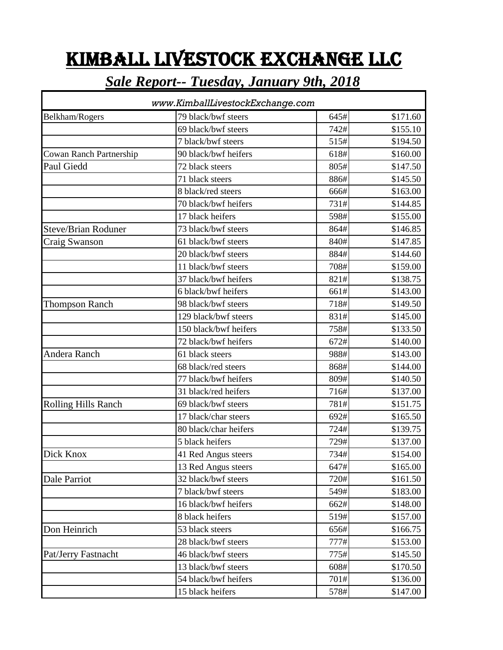## KIMBALL LIVESTOCK EXCHANGE LLC

## *Sale Report-- Tuesday, January 9th, 2018*

| www.KimballLivestockExchange.com |                       |      |          |  |
|----------------------------------|-----------------------|------|----------|--|
| Belkham/Rogers                   | 79 black/bwf steers   | 645# | \$171.60 |  |
|                                  | 69 black/bwf steers   | 742# | \$155.10 |  |
|                                  | 7 black/bwf steers    | 515# | \$194.50 |  |
| <b>Cowan Ranch Partnership</b>   | 90 black/bwf heifers  | 618# | \$160.00 |  |
| Paul Giedd                       | 72 black steers       | 805# | \$147.50 |  |
|                                  | 71 black steers       | 886# | \$145.50 |  |
|                                  | 8 black/red steers    | 666# | \$163.00 |  |
|                                  | 70 black/bwf heifers  | 731# | \$144.85 |  |
|                                  | 17 black heifers      | 598# | \$155.00 |  |
| <b>Steve/Brian Roduner</b>       | 73 black/bwf steers   | 864# | \$146.85 |  |
| Craig Swanson                    | 61 black/bwf steers   | 840# | \$147.85 |  |
|                                  | 20 black/bwf steers   | 884# | \$144.60 |  |
|                                  | 11 black/bwf steers   | 708# | \$159.00 |  |
|                                  | 37 black/bwf heifers  | 821# | \$138.75 |  |
|                                  | 6 black/bwf heifers   | 661# | \$143.00 |  |
| <b>Thompson Ranch</b>            | 98 black/bwf steers   | 718# | \$149.50 |  |
|                                  | 129 black/bwf steers  | 831# | \$145.00 |  |
|                                  | 150 black/bwf heifers | 758# | \$133.50 |  |
|                                  | 72 black/bwf heifers  | 672# | \$140.00 |  |
| Andera Ranch                     | 61 black steers       | 988# | \$143.00 |  |
|                                  | 68 black/red steers   | 868# | \$144.00 |  |
|                                  | 77 black/bwf heifers  | 809# | \$140.50 |  |
|                                  | 31 black/red heifers  | 716# | \$137.00 |  |
| <b>Rolling Hills Ranch</b>       | 69 black/bwf steers   | 781# | \$151.75 |  |
|                                  | 17 black/char steers  | 692# | \$165.50 |  |
|                                  | 80 black/char heifers | 724# | \$139.75 |  |
|                                  | 5 black heifers       | 729# | \$137.00 |  |
| Dick Knox                        | 41 Red Angus steers   | 734# | \$154.00 |  |
|                                  | 13 Red Angus steers   | 647# | \$165.00 |  |
| Dale Parriot                     | 32 black/bwf steers   | 720# | \$161.50 |  |
|                                  | 7 black/bwf steers    | 549# | \$183.00 |  |
|                                  | 16 black/bwf heifers  | 662# | \$148.00 |  |
|                                  | 8 black heifers       | 519# | \$157.00 |  |
| Don Heinrich                     | 53 black steers       | 656# | \$166.75 |  |
|                                  | 28 black/bwf steers   | 777# | \$153.00 |  |
| Pat/Jerry Fastnacht              | 46 black/bwf steers   | 775# | \$145.50 |  |
|                                  | 13 black/bwf steers   | 608# | \$170.50 |  |
|                                  | 54 black/bwf heifers  | 701# | \$136.00 |  |
|                                  | 15 black heifers      | 578# | \$147.00 |  |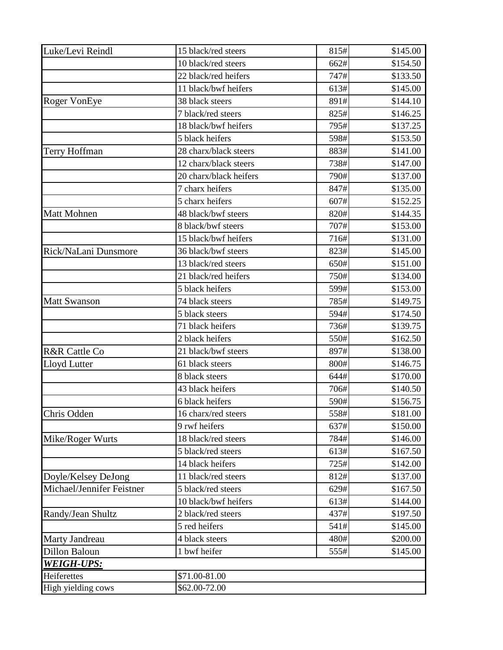| Luke/Levi Reindl          | 15 black/red steers    | 815#             | \$145.00 |
|---------------------------|------------------------|------------------|----------|
|                           | 10 black/red steers    | 662#             | \$154.50 |
|                           | 22 black/red heifers   | 747#             | \$133.50 |
|                           | 11 black/bwf heifers   | 613#             | \$145.00 |
| <b>Roger VonEye</b>       | 38 black steers        | 891#             | \$144.10 |
|                           | 7 black/red steers     | 825#             | \$146.25 |
|                           | 18 black/bwf heifers   | 795#             | \$137.25 |
|                           | 5 black heifers        | 598#             | \$153.50 |
| Terry Hoffman             | 28 charx/black steers  | 883#             | \$141.00 |
|                           | 12 charx/black steers  | 738#             | \$147.00 |
|                           | 20 charx/black heifers | 790#             | \$137.00 |
|                           | 7 charx heifers        | 847#             | \$135.00 |
|                           | 5 charx heifers        | 607#             | \$152.25 |
| Matt Mohnen               | 48 black/bwf steers    | 820#             | \$144.35 |
|                           | 8 black/bwf steers     | 707#             | \$153.00 |
|                           | 15 black/bwf heifers   | 716#             | \$131.00 |
| Rick/NaLani Dunsmore      | 36 black/bwf steers    | 823#             | \$145.00 |
|                           | 13 black/red steers    | 650#             | \$151.00 |
|                           | 21 black/red heifers   | 750#             | \$134.00 |
|                           | 5 black heifers        | 599#             | \$153.00 |
| <b>Matt Swanson</b>       | 74 black steers        | 785#             | \$149.75 |
|                           | 5 black steers         | 594#             | \$174.50 |
|                           | 71 black heifers       | 736#             | \$139.75 |
|                           | 2 black heifers        | 550#             | \$162.50 |
| R&R Cattle Co             | 21 black/bwf steers    | 897#             | \$138.00 |
| Lloyd Lutter              | 61 black steers        | 800#             | \$146.75 |
|                           | 8 black steers         | 644#             | \$170.00 |
|                           | 43 black heifers       | 706#             | \$140.50 |
|                           | 6 black heifers        | 590#             | \$156.75 |
| Chris Odden               | 16 charx/red steers    | 558#             | \$181.00 |
|                           | 9 rwf heifers          | 637#             | \$150.00 |
| Mike/Roger Wurts          | 18 black/red steers    | 784#             | \$146.00 |
|                           | 5 black/red steers     | 613#             | \$167.50 |
|                           | 14 black heifers       | 725#             | \$142.00 |
| Doyle/Kelsey DeJong       | 11 black/red steers    | 812#             | \$137.00 |
| Michael/Jennifer Feistner | 5 black/red steers     | 629#             | \$167.50 |
|                           | 10 black/bwf heifers   | 613#             | \$144.00 |
| Randy/Jean Shultz         | 2 black/red steers     | 437#             | \$197.50 |
|                           | 5 red heifers          | 541#             | \$145.00 |
| Marty Jandreau            | 4 black steers         | 480#             | \$200.00 |
| <b>Dillon Baloun</b>      | 1 bwf heifer           | \$145.00<br>555# |          |
| <b>WEIGH-UPS:</b>         |                        |                  |          |
| Heiferettes               | \$71.00-81.00          |                  |          |
| High yielding cows        | \$62.00-72.00          |                  |          |